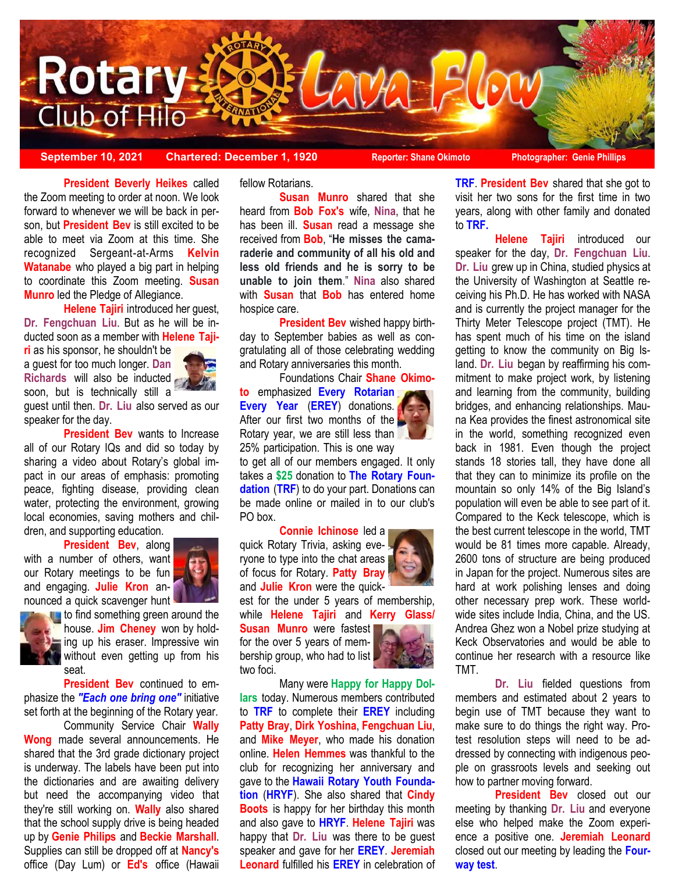

**September 10, 2021 Chartered: December 1, 1920 Reporter: Shane Okimoto Photographer: Genie Phillips**

j the Zoom meeting to order at noon. We look **President Beverly Heikes** called forward to whenever we will be back in person, but **President Bev** is still excited to be able to meet via Zoom at this time. She recognized Sergeant-at-Arms **Kelvin Watanabe** who played a big part in helping to coordinate this Zoom meeting. **Susan Munro** led the Pledge of Allegiance.

**Helene Tajiri** introduced her guest, **Dr. Fengchuan Liu**. But as he will be inducted soon as a member with **Helene Taji-**

**ri** as his sponsor, he shouldn't be a guest for too much longer. **Dan Richards** will also be inducted soon, but is technically still a



guest until then. **Dr. Liu** also served as our speaker for the day.

**President Bev** wants to Increase all of our Rotary IQs and did so today by sharing a video about Rotary's global impact in our areas of emphasis: promoting peace, fighting disease, providing clean water, protecting the environment, growing local economies, saving mothers and children, and supporting education.

**President Bev**, along

with a number of others, want our Rotary meetings to be fun and engaging. **Julie Kron** announced a quick scavenger hunt



**t** to find something green around the house. **Jim Cheney** won by holding up his eraser. Impressive win without even getting up from his seat.

**President Bev** continued to emphasize the *"Each one bring one"* initiative set forth at the beginning of the Rotary year.

Community Service Chair **Wally Wong** made several announcements. He shared that the 3rd grade dictionary project is underway. The labels have been put into the dictionaries and are awaiting delivery but need the accompanying video that they're still working on. **Wally** also shared that the school supply drive is being headed up by **Genie Philips** and **Beckie Marshall**. Supplies can still be dropped off at **Nancy's** office (Day Lum) or **Ed's** office (Hawaii

fellow Rotarians.

**Susan Munro** shared that she heard from **Bob Fox's** wife, **Nina**, that he has been ill. **Susan** read a message she received from **Bob**, "**He misses the camaraderie and community of all his old and less old friends and he is sorry to be unable to join them**." **Nina** also shared with **Susan** that **Bob** has entered home hospice care.

**President Bev** wished happy birthday to September babies as well as congratulating all of those celebrating wedding and Rotary anniversaries this month.

Foundations Chair **Shane Okimo-**

**to** emphasized **Every Rotarian Every Year** (**EREY**) donations. After our first two months of the Rotary year, we are still less than 25% participation. This is one way

to get all of our members engaged. It only takes a **\$25** donation to **The Rotary Foundation** (**TRF**) to do your part. Donations can be made online or mailed in to our club's PO hox.

**Connie Ichinose** led a quick Rotary Trivia, asking everyone to type into the chat areas of focus for Rotary. **Patty Bray**  and **Julie Kron** were the quick-

est for the under 5 years of membership, while **Helene Tajiri** and **Kerry Glass/**

**Susan Munro** were fastest for the over 5 years of membership group, who had to list two foci.



Many were **Happy for Happy Dollars** today. Numerous members contributed to **TRF** to complete their **EREY** including **Patty Bray**, **Dirk Yoshina**, **Fengchuan Liu**, and **Mike Meyer**, who made his donation online. **Helen Hemmes** was thankful to the club for recognizing her anniversary and gave to the **Hawaii Rotary Youth Foundation** (**HRYF**). She also shared that **Cindy Boots** is happy for her birthday this month and also gave to **HRYF**. **Helene Tajiri** was happy that **Dr. Liu** was there to be guest speaker and gave for her **EREY**. **Jeremiah Leonard** fulfilled his **EREY** in celebration of **TRF**. **President Bev** shared that she got to visit her two sons for the first time in two years, along with other family and donated to **TRF.**

**Helene Tajiri** introduced our speaker for the day, **Dr. Fengchuan Liu**. **Dr. Liu** grew up in China, studied physics at the University of Washington at Seattle receiving his Ph.D. He has worked with NASA and is currently the project manager for the Thirty Meter Telescope project (TMT). He has spent much of his time on the island getting to know the community on Big Island. **Dr. Liu** began by reaffirming his commitment to make project work, by listening and learning from the community, building bridges, and enhancing relationships. Mauna Kea provides the finest astronomical site in the world, something recognized even back in 1981. Even though the project stands 18 stories tall, they have done all that they can to minimize its profile on the mountain so only 14% of the Big Island's population will even be able to see part of it. Compared to the Keck telescope, which is the best current telescope in the world, TMT would be 81 times more capable. Already, 2600 tons of structure are being produced in Japan for the project. Numerous sites are hard at work polishing lenses and doing other necessary prep work. These worldwide sites include India, China, and the US. Andrea Ghez won a Nobel prize studying at Keck Observatories and would be able to continue her research with a resource like TMT.

**Dr. Liu** fielded questions from members and estimated about 2 years to begin use of TMT because they want to make sure to do things the right way. Protest resolution steps will need to be addressed by connecting with indigenous people on grassroots levels and seeking out how to partner moving forward.

**President Bev** closed out our meeting by thanking **Dr. Liu** and everyone else who helped make the Zoom experience a positive one. **Jeremiah Leonard**  closed out our meeting by leading the **Fourway test**.